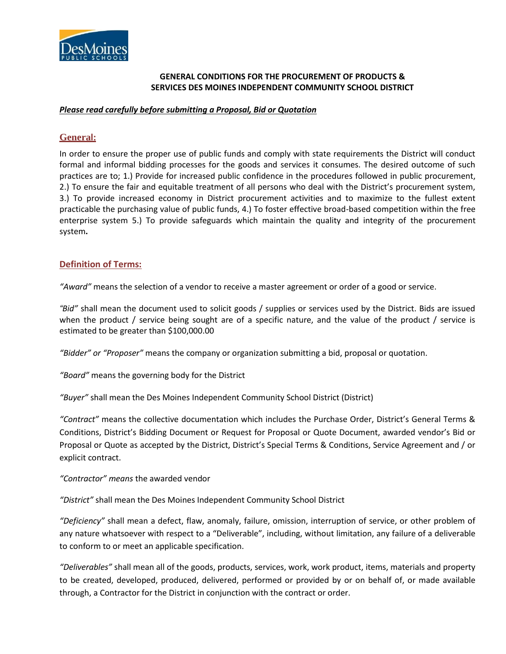

## **GENERAL CONDITIONS FOR THE PROCUREMENT OF PRODUCTS & SERVICES DES MOINES INDEPENDENT COMMUNITY SCHOOL DISTRICT**

## *Please read carefully before submitting a Proposal, Bid or Quotation*

# **General:**

In order to ensure the proper use of public funds and comply with state requirements the District will conduct formal and informal bidding processes for the goods and services it consumes. The desired outcome of such practices are to; 1.) Provide for increased public confidence in the procedures followed in public procurement, 2.) To ensure the fair and equitable treatment of all persons who deal with the District's procurement system, 3.) To provide increased economy in District procurement activities and to maximize to the fullest extent practicable the purchasing value of public funds, 4.) To foster effective broad-based competition within the free enterprise system 5.) To provide safeguards which maintain the quality and integrity of the procurement system**.**

## **Definition of Terms:**

*"Award"* means the selection of a vendor to receive a master agreement or order of a good or service.

*"Bid"* shall mean the document used to solicit goods / supplies or services used by the District. Bids are issued when the product / service being sought are of a specific nature, and the value of the product / service is estimated to be greater than \$100,000.00

*"Bidder" or "Proposer"* means the company or organization submitting a bid, proposal or quotation.

*"Board"* means the governing body for the District

*"Buyer"* shall mean the Des Moines Independent Community School District (District)

*"Contract"* means the collective documentation which includes the Purchase Order, District's General Terms & Conditions, District's Bidding Document or Request for Proposal or Quote Document, awarded vendor's Bid or Proposal or Quote as accepted by the District, District's Special Terms & Conditions, Service Agreement and / or explicit contract.

*"Contractor" means* the awarded vendor

*"District"* shall mean the Des Moines Independent Community School District

*"Deficiency"* shall mean a defect, flaw, anomaly, failure, omission, interruption of service, or other problem of any nature whatsoever with respect to a "Deliverable", including, without limitation, any failure of a deliverable to conform to or meet an applicable specification.

*"Deliverables"* shall mean all of the goods, products, services, work, work product, items, materials and property to be created, developed, produced, delivered, performed or provided by or on behalf of, or made available through, a Contractor for the District in conjunction with the contract or order.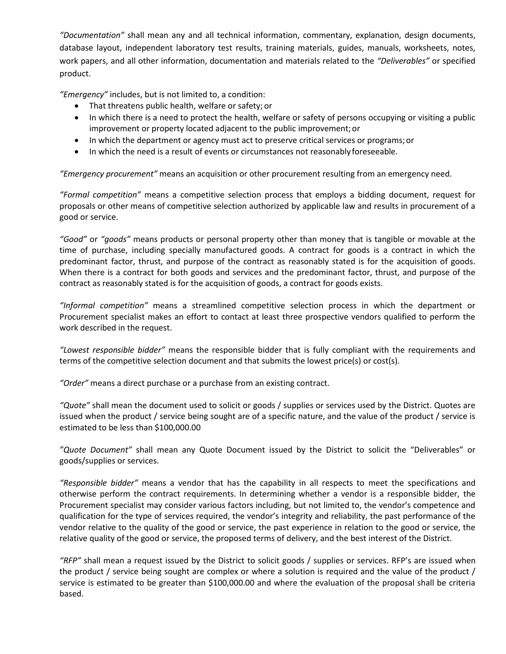*"Documentation"* shall mean any and all technical information, commentary, explanation, design documents, database layout, independent laboratory test results, training materials, guides, manuals, worksheets, notes, work papers, and all other information, documentation and materials related to the *"Deliverables"* or specified product.

*"Emergency"* includes, but is not limited to, a condition:

- That threatens public health, welfare or safety; or
- In which there is a need to protect the health, welfare or safety of persons occupying or visiting a public improvement or property located adjacent to the public improvement;or
- In which the department or agency must act to preserve critical services or programs; or
- In which the need is a result of events or circumstances not reasonably foreseeable.

*"Emergency procurement"* means an acquisition or other procurement resulting from an emergency need.

*"Formal competition"* means a competitive selection process that employs a bidding document, request for proposals or other means of competitive selection authorized by applicable law and results in procurement of a good or service.

*"Good"* or *"goods"* means products or personal property other than money that is tangible or movable at the time of purchase, including specially manufactured goods. A contract for goods is a contract in which the predominant factor, thrust, and purpose of the contract as reasonably stated is for the acquisition of goods. When there is a contract for both goods and services and the predominant factor, thrust, and purpose of the contract as reasonably stated is for the acquisition of goods, a contract for goods exists.

*"Informal competition"* means a streamlined competitive selection process in which the department or Procurement specialist makes an effort to contact at least three prospective vendors qualified to perform the work described in the request.

*"Lowest responsible bidder"* means the responsible bidder that is fully compliant with the requirements and terms of the competitive selection document and that submits the lowest price(s) or cost(s).

*"Order"* means a direct purchase or a purchase from an existing contract.

*"Quote"* shall mean the document used to solicit or goods / supplies or services used by the District. Quotes are issued when the product / service being sought are of a specific nature, and the value of the product / service is estimated to be less than \$100,000.00

*"Quote Document"* shall mean any Quote Document issued by the District to solicit the "Deliverables" or goods/supplies or services.

*"Responsible bidder"* means a vendor that has the capability in all respects to meet the specifications and otherwise perform the contract requirements. In determining whether a vendor is a responsible bidder, the Procurement specialist may consider various factors including, but not limited to, the vendor's competence and qualification for the type of services required, the vendor's integrity and reliability, the past performance of the vendor relative to the quality of the good or service, the past experience in relation to the good or service, the relative quality of the good or service, the proposed terms of delivery, and the best interest of the District.

*"RFP"* shall mean a request issued by the District to solicit goods / supplies or services. RFP's are issued when the product / service being sought are complex or where a solution is required and the value of the product / service is estimated to be greater than \$100,000.00 and where the evaluation of the proposal shall be criteria based.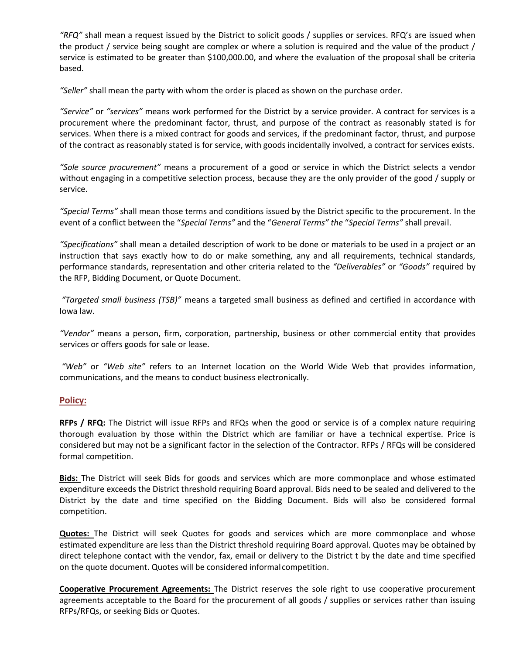*"RFQ"* shall mean a request issued by the District to solicit goods / supplies or services. RFQ's are issued when the product / service being sought are complex or where a solution is required and the value of the product / service is estimated to be greater than \$100,000.00, and where the evaluation of the proposal shall be criteria based.

*"Seller"* shall mean the party with whom the order is placed as shown on the purchase order.

*"Service"* or *"services"* means work performed for the District by a service provider. A contract for services is a procurement where the predominant factor, thrust, and purpose of the contract as reasonably stated is for services. When there is a mixed contract for goods and services, if the predominant factor, thrust, and purpose of the contract as reasonably stated is for service, with goods incidentally involved, a contract for services exists.

*"Sole source procurement"* means a procurement of a good or service in which the District selects a vendor without engaging in a competitive selection process, because they are the only provider of the good / supply or service.

*"Special Terms"* shall mean those terms and conditions issued by the District specific to the procurement*.* In the event of a conflict between the "*Special Terms"* and the "*General Terms" the* "*Special Terms"* shall prevail.

*"Specifications"* shall mean a detailed description of work to be done or materials to be used in a project or an instruction that says exactly how to do or make something, any and all requirements, technical standards, performance standards, representation and other criteria related to the *"Deliverables"* or *"Goods"* required by the RFP, Bidding Document, or Quote Document.

*"Targeted small business (TSB)"* means a targeted small business as defined and certified in accordance with Iowa law.

*"Vendor"* means a person, firm, corporation, partnership, business or other commercial entity that provides services or offers goods for sale or lease.

*"Web"* or *"Web site"* refers to an Internet location on the World Wide Web that provides information, communications, and the means to conduct business electronically.

## **Policy:**

**RFPs / RFQ:** The District will issue RFPs and RFQs when the good or service is of a complex nature requiring thorough evaluation by those within the District which are familiar or have a technical expertise. Price is considered but may not be a significant factor in the selection of the Contractor. RFPs / RFQs will be considered formal competition.

**Bids:** The District will seek Bids for goods and services which are more commonplace and whose estimated expenditure exceeds the District threshold requiring Board approval. Bids need to be sealed and delivered to the District by the date and time specified on the Bidding Document. Bids will also be considered formal competition.

**Quotes:** The District will seek Quotes for goods and services which are more commonplace and whose estimated expenditure are less than the District threshold requiring Board approval. Quotes may be obtained by direct telephone contact with the vendor, fax, email or delivery to the District t by the date and time specified on the quote document. Quotes will be considered informal competition.

**Cooperative Procurement Agreements:** The District reserves the sole right to use cooperative procurement agreements acceptable to the Board for the procurement of all goods / supplies or services rather than issuing RFPs/RFQs, or seeking Bids or Quotes.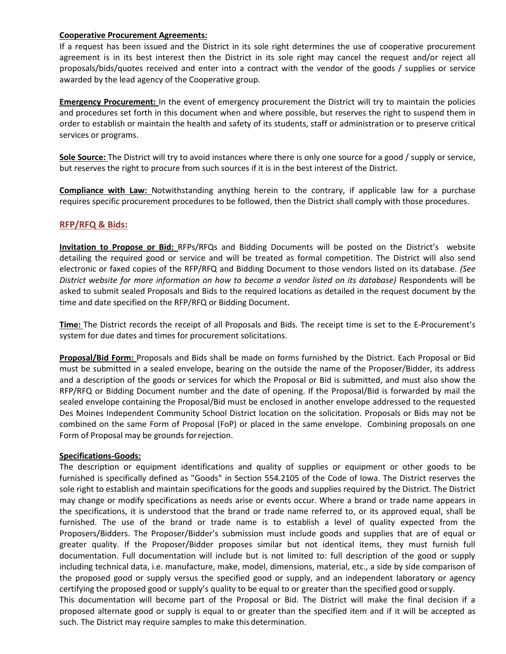#### **Cooperative Procurement Agreements:**

If a request has been issued and the District in its sole right determines the use of cooperative procurement agreement is in its best interest then the District in its sole right may cancel the request and/or reject all proposals/bids/quotes received and enter into a contract with the vendor of the goods / supplies or service awarded by the lead agency of the Cooperative group.

**Emergency Procurement:** In the event of emergency procurement the District will try to maintain the policies and procedures set forth in this document when and where possible, but reserves the right to suspend them in order to establish or maintain the health and safety of its students, staff or administration or to preserve critical services or programs.

**Sole Source:** The District will try to avoid instances where there is only one source for a good / supply or service, but reserves the right to procure from such sources if it is in the best interest of the District.

**Compliance with Law:** Notwithstanding anything herein to the contrary, if applicable law for a purchase requires specific procurement procedures to be followed, then the District shall comply with those procedures.

## **RFP/RFQ & Bids:**

**Invitation to Propose or Bid:** RFPs/RFQs and Bidding Documents will be posted on the District's website detailing the required good or service and will be treated as formal competition. The District will also send electronic or faxed copies of the RFP/RFQ and Bidding Document to those vendors listed on its database. *(See District website for more information on how to become a vendor listed on its database)* Respondents will be asked to submit sealed Proposals and Bids to the required locations as detailed in the request document by the time and date specified on the RFP/RFQ or Bidding Document.

**Time:** The District records the receipt of all Proposals and Bids. The receipt time is set to the E-Procurement's system for due dates and times for procurement solicitations.

**Proposal/Bid Form:** Proposals and Bids shall be made on forms furnished by the District. Each Proposal or Bid must be submitted in a sealed envelope, bearing on the outside the name of the Proposer/Bidder, its address and a description of the goods or services for which the Proposal or Bid is submitted, and must also show the RFP/RFQ or Bidding Document number and the date of opening. If the Proposal/Bid is forwarded by mail the sealed envelope containing the Proposal/Bid must be enclosed in another envelope addressed to the requested Des Moines Independent Community School District location on the solicitation. Proposals or Bids may not be combined on the same Form of Proposal (FoP) or placed in the same envelope. Combining proposals on one Form of Proposal may be grounds forrejection.

## **Specifications-Goods:**

The description or equipment identifications and quality of supplies or equipment or other goods to be furnished is specifically defined as "Goods" in Section 554.2105 of the Code of Iowa. The District reserves the sole right to establish and maintain specifications for the goods and supplies required by the District. The District may change or modify specifications as needs arise or events occur. Where a brand or trade name appears in the specifications, it is understood that the brand or trade name referred to, or its approved equal, shall be furnished. The use of the brand or trade name is to establish a level of quality expected from the Proposers/Bidders. The Proposer/Bidder's submission must include goods and supplies that are of equal or greater quality. If the Proposer/Bidder proposes similar but not identical items, they must furnish full documentation. Full documentation will include but is not limited to: full description of the good or supply including technical data, i.e. manufacture, make, model, dimensions, material, etc., a side by side comparison of the proposed good or supply versus the specified good or supply, and an independent laboratory or agency certifying the proposed good or supply's quality to be equal to or greater than the specified good orsupply.

This documentation will become part of the Proposal or Bid. The District will make the final decision if a proposed alternate good or supply is equal to or greater than the specified item and if it will be accepted as such. The District may require samples to make this determination.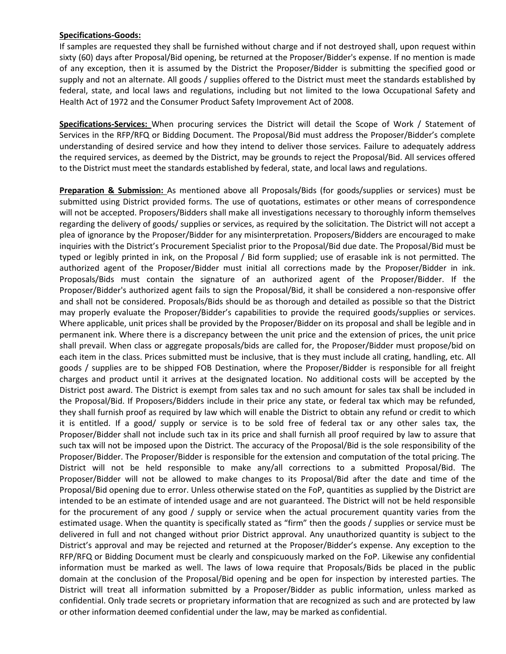#### **Specifications-Goods:**

If samples are requested they shall be furnished without charge and if not destroyed shall, upon request within sixty (60) days after Proposal/Bid opening, be returned at the Proposer/Bidder's expense. If no mention is made of any exception, then it is assumed by the District the Proposer/Bidder is submitting the specified good or supply and not an alternate. All goods / supplies offered to the District must meet the standards established by federal, state, and local laws and regulations, including but not limited to the Iowa Occupational Safety and Health Act of 1972 and the Consumer Product Safety Improvement Act of 2008.

**Specifications-Services:** When procuring services the District will detail the Scope of Work / Statement of Services in the RFP/RFQ or Bidding Document. The Proposal/Bid must address the Proposer/Bidder's complete understanding of desired service and how they intend to deliver those services. Failure to adequately address the required services, as deemed by the District, may be grounds to reject the Proposal/Bid. All services offered to the District must meet the standards established by federal, state, and local laws and regulations.

**Preparation & Submission:** As mentioned above all Proposals/Bids (for goods/supplies or services) must be submitted using District provided forms. The use of quotations, estimates or other means of correspondence will not be accepted. Proposers/Bidders shall make all investigations necessary to thoroughly inform themselves regarding the delivery of goods/ supplies or services, as required by the solicitation. The District will not accept a plea of ignorance by the Proposer/Bidder for any misinterpretation. Proposers/Bidders are encouraged to make inquiries with the District's Procurement Specialist prior to the Proposal/Bid due date. The Proposal/Bid must be typed or legibly printed in ink, on the Proposal / Bid form supplied; use of erasable ink is not permitted. The authorized agent of the Proposer/Bidder must initial all corrections made by the Proposer/Bidder in ink. Proposals/Bids must contain the signature of an authorized agent of the Proposer/Bidder. If the Proposer/Bidder's authorized agent fails to sign the Proposal/Bid, it shall be considered a non-responsive offer and shall not be considered. Proposals/Bids should be as thorough and detailed as possible so that the District may properly evaluate the Proposer/Bidder's capabilities to provide the required goods/supplies or services. Where applicable, unit prices shall be provided by the Proposer/Bidder on its proposal and shall be legible and in permanent ink. Where there is a discrepancy between the unit price and the extension of prices, the unit price shall prevail. When class or aggregate proposals/bids are called for, the Proposer/Bidder must propose/bid on each item in the class. Prices submitted must be inclusive, that is they must include all crating, handling, etc. All goods / supplies are to be shipped FOB Destination, where the Proposer/Bidder is responsible for all freight charges and product until it arrives at the designated location. No additional costs will be accepted by the District post award. The District is exempt from sales tax and no such amount for sales tax shall be included in the Proposal/Bid. If Proposers/Bidders include in their price any state, or federal tax which may be refunded, they shall furnish proof as required by law which will enable the District to obtain any refund or credit to which it is entitled. If a good/ supply or service is to be sold free of federal tax or any other sales tax, the Proposer/Bidder shall not include such tax in its price and shall furnish all proof required by law to assure that such tax will not be imposed upon the District. The accuracy of the Proposal/Bid is the sole responsibility of the Proposer/Bidder. The Proposer/Bidder is responsible for the extension and computation of the total pricing. The District will not be held responsible to make any/all corrections to a submitted Proposal/Bid. The Proposer/Bidder will not be allowed to make changes to its Proposal/Bid after the date and time of the Proposal/Bid opening due to error. Unless otherwise stated on the FoP, quantities as supplied by the District are intended to be an estimate of intended usage and are not guaranteed. The District will not be held responsible for the procurement of any good / supply or service when the actual procurement quantity varies from the estimated usage. When the quantity is specifically stated as "firm" then the goods / supplies or service must be delivered in full and not changed without prior District approval. Any unauthorized quantity is subject to the District's approval and may be rejected and returned at the Proposer/Bidder's expense. Any exception to the RFP/RFQ or Bidding Document must be clearly and conspicuously marked on the FoP. Likewise any confidential information must be marked as well. The laws of Iowa require that Proposals/Bids be placed in the public domain at the conclusion of the Proposal/Bid opening and be open for inspection by interested parties. The District will treat all information submitted by a Proposer/Bidder as public information, unless marked as confidential. Only trade secrets or proprietary information that are recognized as such and are protected by law or other information deemed confidential under the law, may be marked as confidential.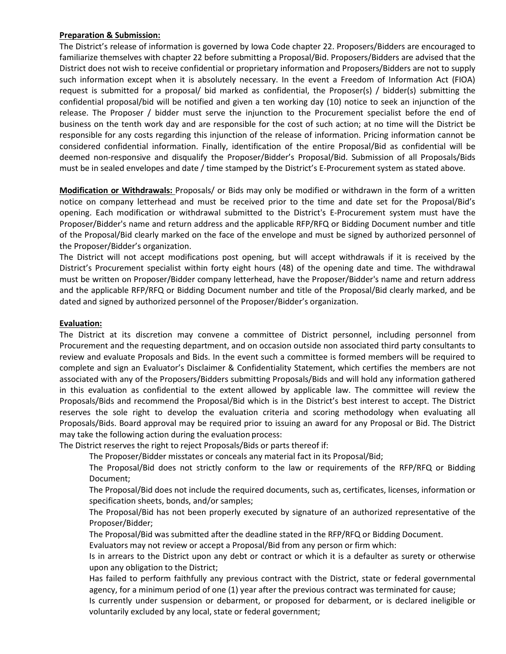## **Preparation & Submission:**

The District's release of information is governed by Iowa Code chapter 22. Proposers/Bidders are encouraged to familiarize themselves with chapter 22 before submitting a Proposal/Bid. Proposers/Bidders are advised that the District does not wish to receive confidential or proprietary information and Proposers/Bidders are not to supply such information except when it is absolutely necessary. In the event a Freedom of Information Act (FIOA) request is submitted for a proposal/ bid marked as confidential, the Proposer(s) / bidder(s) submitting the confidential proposal/bid will be notified and given a ten working day (10) notice to seek an injunction of the release. The Proposer / bidder must serve the injunction to the Procurement specialist before the end of business on the tenth work day and are responsible for the cost of such action; at no time will the District be responsible for any costs regarding this injunction of the release of information. Pricing information cannot be considered confidential information. Finally, identification of the entire Proposal/Bid as confidential will be deemed non-responsive and disqualify the Proposer/Bidder's Proposal/Bid. Submission of all Proposals/Bids must be in sealed envelopes and date / time stamped by the District's E-Procurement system as stated above.

**Modification or Withdrawals:** Proposals/ or Bids may only be modified or withdrawn in the form of a written notice on company letterhead and must be received prior to the time and date set for the Proposal/Bid's opening. Each modification or withdrawal submitted to the District's E-Procurement system must have the Proposer/Bidder's name and return address and the applicable RFP/RFQ or Bidding Document number and title of the Proposal/Bid clearly marked on the face of the envelope and must be signed by authorized personnel of the Proposer/Bidder's organization.

The District will not accept modifications post opening, but will accept withdrawals if it is received by the District's Procurement specialist within forty eight hours (48) of the opening date and time. The withdrawal must be written on Proposer/Bidder company letterhead, have the Proposer/Bidder's name and return address and the applicable RFP/RFQ or Bidding Document number and title of the Proposal/Bid clearly marked, and be dated and signed by authorized personnel of the Proposer/Bidder's organization.

## **Evaluation:**

The District at its discretion may convene a committee of District personnel, including personnel from Procurement and the requesting department, and on occasion outside non associated third party consultants to review and evaluate Proposals and Bids. In the event such a committee is formed members will be required to complete and sign an Evaluator's Disclaimer & Confidentiality Statement, which certifies the members are not associated with any of the Proposers/Bidders submitting Proposals/Bids and will hold any information gathered in this evaluation as confidential to the extent allowed by applicable law. The committee will review the Proposals/Bids and recommend the Proposal/Bid which is in the District's best interest to accept. The District reserves the sole right to develop the evaluation criteria and scoring methodology when evaluating all Proposals/Bids. Board approval may be required prior to issuing an award for any Proposal or Bid. The District may take the following action during the evaluation process:

The District reserves the right to reject Proposals/Bids or parts thereof if:

The Proposer/Bidder misstates or conceals any material fact in its Proposal/Bid;

The Proposal/Bid does not strictly conform to the law or requirements of the RFP/RFQ or Bidding Document;

The Proposal/Bid does not include the required documents, such as, certificates, licenses, information or specification sheets, bonds, and/or samples;

The Proposal/Bid has not been properly executed by signature of an authorized representative of the Proposer/Bidder;

The Proposal/Bid was submitted after the deadline stated in the RFP/RFQ or Bidding Document.

Evaluators may not review or accept a Proposal/Bid from any person or firm which:

Is in arrears to the District upon any debt or contract or which it is a defaulter as surety or otherwise upon any obligation to the District;

Has failed to perform faithfully any previous contract with the District, state or federal governmental agency, for a minimum period of one (1) year after the previous contract was terminated for cause;

Is currently under suspension or debarment, or proposed for debarment, or is declared ineligible or voluntarily excluded by any local, state or federal government;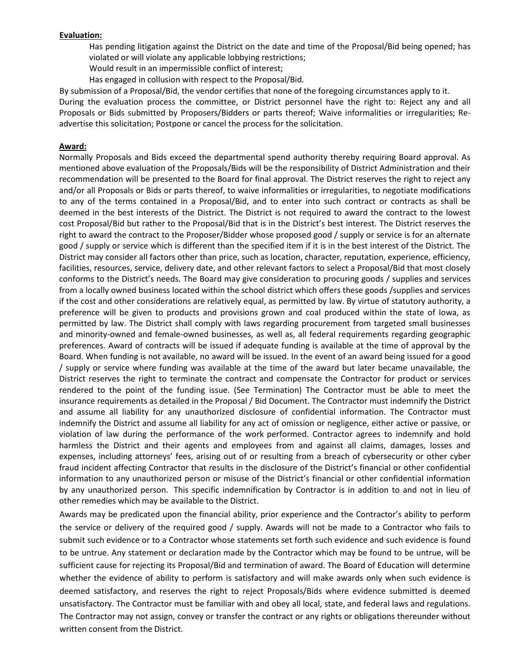#### **Evaluation:**

Has pending litigation against the District on the date and time of the Proposal/Bid being opened; has violated or will violate any applicable lobbying restrictions;

Would result in an impermissible conflict of interest;

Has engaged in collusion with respect to the Proposal/Bid.

By submission of a Proposal/Bid, the vendor certifies that none of the foregoing circumstances apply to it.

During the evaluation process the committee, or District personnel have the right to: Reject any and all Proposals or Bids submitted by Proposers/Bidders or parts thereof; Waive informalities or irregularities; Readvertise this solicitation; Postpone or cancel the process for the solicitation.

#### **Award:**

Normally Proposals and Bids exceed the departmental spend authority thereby requiring Board approval. As mentioned above evaluation of the Proposals/Bids will be the responsibility of District Administration and their recommendation will be presented to the Board for final approval. The District reserves the right to reject any and/or all Proposals or Bids or parts thereof, to waive informalities or irregularities, to negotiate modifications to any of the terms contained in a Proposal/Bid, and to enter into such contract or contracts as shall be deemed in the best interests of the District. The District is not required to award the contract to the lowest cost Proposal/Bid but rather to the Proposal/Bid that is in the District's best interest. The District reserves the right to award the contract to the Proposer/Bidder whose proposed good / supply or service is for an alternate good / supply or service which is different than the specified item if it is in the best interest of the District. The District may consider all factors other than price, such as location, character, reputation, experience, efficiency, facilities, resources, service, delivery date, and other relevant factors to select a Proposal/Bid that most closely conforms to the District's needs. The Board may give consideration to procuring goods / supplies and services from a locally owned business located within the school district which offers these goods /supplies and services if the cost and other considerations are relatively equal, as permitted by law. By virtue of statutory authority, a preference will be given to products and provisions grown and coal produced within the state of Iowa, as permitted by law. The District shall comply with laws regarding procurement from targeted small businesses and minority-owned and female-owned businesses, as well as, all federal requirements regarding geographic preferences. Award of contracts will be issued if adequate funding is available at the time of approval by the Board. When funding is not available, no award will be issued. In the event of an award being issued for a good / supply or service where funding was available at the time of the award but later became unavailable, the District reserves the right to terminate the contract and compensate the Contractor for product or services rendered to the point of the funding issue. (See Termination) The Contractor must be able to meet the insurance requirements as detailed in the Proposal / Bid Document. The Contractor must indemnify the District and assume all liability for any unauthorized disclosure of confidential information. The Contractor must indemnify the District and assume all liability for any act of omission or negligence, either active or passive, or violation of law during the performance of the work performed. Contractor agrees to indemnify and hold harmless the District and their agents and employees from and against all claims, damages, losses and expenses, including attorneys' fees, arising out of or resulting from a breach of cybersecurity or other cyber fraud incident affecting Contractor that results in the disclosure of the District's financial or other confidential information to any unauthorized person or misuse of the District's financial or other confidential information by any unauthorized person. This specific indemnification by Contractor is in addition to and not in lieu of other remedies which may be available to the District.

Awards may be predicated upon the financial ability, prior experience and the Contractor's ability to perform the service or delivery of the required good / supply. Awards will not be made to a Contractor who fails to submit such evidence or to a Contractor whose statements set forth such evidence and such evidence is found to be untrue. Any statement or declaration made by the Contractor which may be found to be untrue, will be sufficient cause for rejecting its Proposal/Bid and termination of award. The Board of Education will determine whether the evidence of ability to perform is satisfactory and will make awards only when such evidence is deemed satisfactory, and reserves the right to reject Proposals/Bids where evidence submitted is deemed unsatisfactory. The Contractor must be familiar with and obey all local, state, and federal laws and regulations. The Contractor may not assign, convey or transfer the contract or any rights or obligations thereunder without written consent from the District.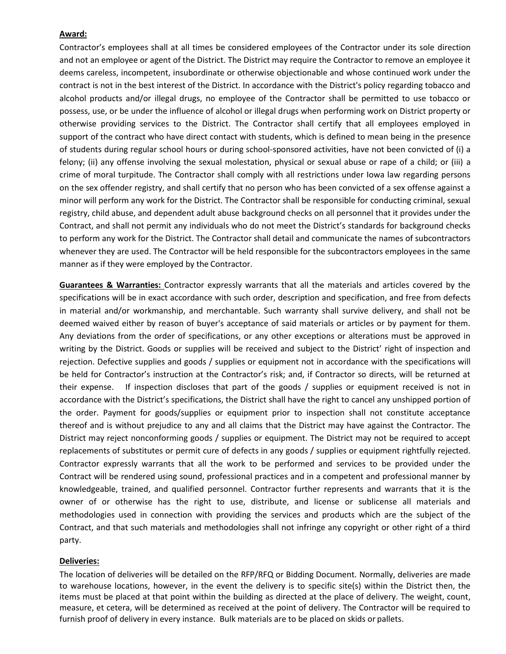## **Award:**

Contractor's employees shall at all times be considered employees of the Contractor under its sole direction and not an employee or agent of the District. The District may require the Contractor to remove an employee it deems careless, incompetent, insubordinate or otherwise objectionable and whose continued work under the contract is not in the best interest of the District. In accordance with the District's policy regarding tobacco and alcohol products and/or illegal drugs, no employee of the Contractor shall be permitted to use tobacco or possess, use, or be under the influence of alcohol or illegal drugs when performing work on District property or otherwise providing services to the District. The Contractor shall certify that all employees employed in support of the contract who have direct contact with students, which is defined to mean being in the presence of students during regular school hours or during school-sponsored activities, have not been convicted of (i) a felony; (ii) any offense involving the sexual molestation, physical or sexual abuse or rape of a child; or (iii) a crime of moral turpitude. The Contractor shall comply with all restrictions under Iowa law regarding persons on the sex offender registry, and shall certify that no person who has been convicted of a sex offense against a minor will perform any work for the District. The Contractor shall be responsible for conducting criminal, sexual registry, child abuse, and dependent adult abuse background checks on all personnel that it provides under the Contract, and shall not permit any individuals who do not meet the District's standards for background checks to perform any work for the District. The Contractor shall detail and communicate the names of subcontractors whenever they are used. The Contractor will be held responsible for the subcontractors employees in the same manner as if they were employed by the Contractor.

**Guarantees & Warranties:** Contractor expressly warrants that all the materials and articles covered by the specifications will be in exact accordance with such order, description and specification, and free from defects in material and/or workmanship, and merchantable. Such warranty shall survive delivery, and shall not be deemed waived either by reason of buyer's acceptance of said materials or articles or by payment for them. Any deviations from the order of specifications, or any other exceptions or alterations must be approved in writing by the District. Goods or supplies will be received and subject to the District' right of inspection and rejection. Defective supplies and goods / supplies or equipment not in accordance with the specifications will be held for Contractor's instruction at the Contractor's risk; and, if Contractor so directs, will be returned at their expense. If inspection discloses that part of the goods / supplies or equipment received is not in accordance with the District's specifications, the District shall have the right to cancel any unshipped portion of the order. Payment for goods/supplies or equipment prior to inspection shall not constitute acceptance thereof and is without prejudice to any and all claims that the District may have against the Contractor. The District may reject nonconforming goods / supplies or equipment. The District may not be required to accept replacements of substitutes or permit cure of defects in any goods / supplies or equipment rightfully rejected. Contractor expressly warrants that all the work to be performed and services to be provided under the Contract will be rendered using sound, professional practices and in a competent and professional manner by knowledgeable, trained, and qualified personnel. Contractor further represents and warrants that it is the owner of or otherwise has the right to use, distribute, and license or sublicense all materials and methodologies used in connection with providing the services and products which are the subject of the Contract, and that such materials and methodologies shall not infringe any copyright or other right of a third party.

## **Deliveries:**

The location of deliveries will be detailed on the RFP/RFQ or Bidding Document. Normally, deliveries are made to warehouse locations, however, in the event the delivery is to specific site(s) within the District then, the items must be placed at that point within the building as directed at the place of delivery. The weight, count, measure, et cetera, will be determined as received at the point of delivery. The Contractor will be required to furnish proof of delivery in every instance. Bulk materials are to be placed on skids or pallets.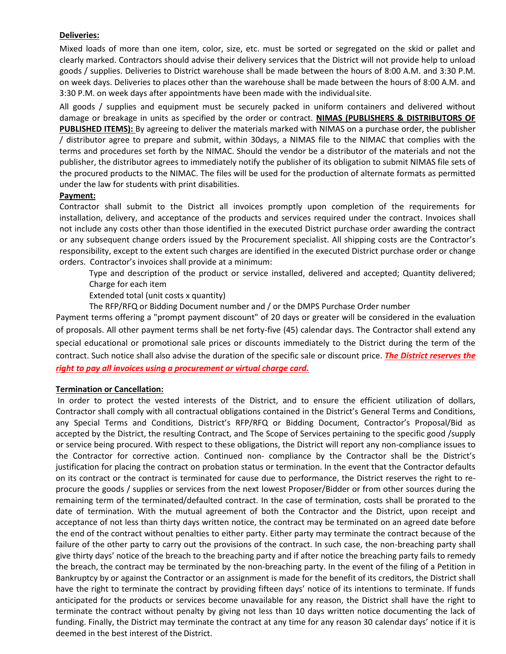## **Deliveries:**

Mixed loads of more than one item, color, size, etc. must be sorted or segregated on the skid or pallet and clearly marked. Contractors should advise their delivery services that the District will not provide help to unload goods / supplies. Deliveries to District warehouse shall be made between the hours of 8:00 A.M. and 3:30 P.M. on week days. Deliveries to places other than the warehouse shall be made between the hours of 8:00 A.M. and 3:30 P.M. on week days after appointments have been made with the individualsite.

All goods / supplies and equipment must be securely packed in uniform containers and delivered without damage or breakage in units as specified by the order or contract. **NIMAS (PUBLISHERS & DISTRIBUTORS OF PUBLISHED ITEMS):** By agreeing to deliver the materials marked with NIMAS on a purchase order, the publisher / distributor agree to prepare and submit, within 30days, a NIMAS file to the NIMAC that complies with the terms and procedures set forth by the NIMAC. Should the vendor be a distributor of the materials and not the publisher, the distributor agrees to immediately notify the publisher of its obligation to submit NIMAS file sets of the procured products to the NIMAC. The files will be used for the production of alternate formats as permitted under the law for students with print disabilities.

## **Payment:**

Contractor shall submit to the District all invoices promptly upon completion of the requirements for installation, delivery, and acceptance of the products and services required under the contract. Invoices shall not include any costs other than those identified in the executed District purchase order awarding the contract or any subsequent change orders issued by the Procurement specialist. All shipping costs are the Contractor's responsibility, except to the extent such charges are identified in the executed District purchase order or change orders. Contractor's invoices shall provide at a minimum:

Type and description of the product or service installed, delivered and accepted; Quantity delivered; Charge for each item

Extended total (unit costs x quantity)

The RFP/RFQ or Bidding Document number and / or the DMPS Purchase Order number

Payment terms offering a "prompt payment discount" of 20 days or greater will be considered in the evaluation of proposals. All other payment terms shall be net forty-five (45) calendar days. The Contractor shall extend any special educational or promotional sale prices or discounts immediately to the District during the term of the contract. Such notice shall also advise the duration of the specific sale or discount price. *The District reserves the right to pay all invoices using a procurement or virtual charge card.*

## **Termination or Cancellation:**

In order to protect the vested interests of the District, and to ensure the efficient utilization of dollars, Contractor shall comply with all contractual obligations contained in the District's General Terms and Conditions, any Special Terms and Conditions, District's RFP/RFQ or Bidding Document, Contractor's Proposal/Bid as accepted by the District, the resulting Contract, and The Scope of Services pertaining to the specific good /supply or service being procured. With respect to these obligations, the District will report any non-compliance issues to the Contractor for corrective action. Continued non- compliance by the Contractor shall be the District's justification for placing the contract on probation status or termination. In the event that the Contractor defaults on its contract or the contract is terminated for cause due to performance, the District reserves the right to reprocure the goods / supplies or services from the next lowest Proposer/Bidder or from other sources during the remaining term of the terminated/defaulted contract. In the case of termination, costs shall be prorated to the date of termination. With the mutual agreement of both the Contractor and the District, upon receipt and acceptance of not less than thirty days written notice, the contract may be terminated on an agreed date before the end of the contract without penalties to either party. Either party may terminate the contract because of the failure of the other party to carry out the provisions of the contract. In such case, the non-breaching party shall give thirty days' notice of the breach to the breaching party and if after notice the breaching party fails to remedy the breach, the contract may be terminated by the non-breaching party. In the event of the filing of a Petition in Bankruptcy by or against the Contractor or an assignment is made for the benefit of its creditors, the District shall have the right to terminate the contract by providing fifteen days' notice of its intentions to terminate. If funds anticipated for the products or services become unavailable for any reason, the District shall have the right to terminate the contract without penalty by giving not less than 10 days written notice documenting the lack of funding. Finally, the District may terminate the contract at any time for any reason 30 calendar days' notice if it is deemed in the best interest of the District.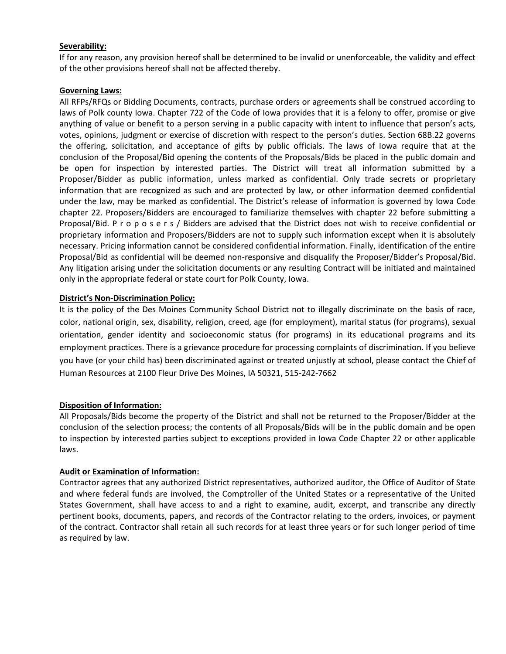## **Severability:**

If for any reason, any provision hereof shall be determined to be invalid or unenforceable, the validity and effect of the other provisions hereof shall not be affected thereby.

## **Governing Laws:**

All RFPs/RFQs or Bidding Documents, contracts, purchase orders or agreements shall be construed according to laws of Polk county Iowa. Chapter 722 of the Code of Iowa provides that it is a felony to offer, promise or give anything of value or benefit to a person serving in a public capacity with intent to influence that person's acts, votes, opinions, judgment or exercise of discretion with respect to the person's duties. Section 68B.22 governs the offering, solicitation, and acceptance of gifts by public officials. The laws of Iowa require that at the conclusion of the Proposal/Bid opening the contents of the Proposals/Bids be placed in the public domain and be open for inspection by interested parties. The District will treat all information submitted by a Proposer/Bidder as public information, unless marked as confidential. Only trade secrets or proprietary information that are recognized as such and are protected by law, or other information deemed confidential under the law, may be marked as confidential. The District's release of information is governed by Iowa Code chapter 22. Proposers/Bidders are encouraged to familiarize themselves with chapter 22 before submitting a Proposal/Bid. P r o p o s e r s / Bidders are advised that the District does not wish to receive confidential or proprietary information and Proposers/Bidders are not to supply such information except when it is absolutely necessary. Pricing information cannot be considered confidential information. Finally, identification of the entire Proposal/Bid as confidential will be deemed non-responsive and disqualify the Proposer/Bidder's Proposal/Bid. Any litigation arising under the solicitation documents or any resulting Contract will be initiated and maintained only in the appropriate federal or state court for Polk County, Iowa.

## **District's Non-Discrimination Policy:**

It is the policy of the Des Moines Community School District not to illegally discriminate on the basis of race, color, national origin, sex, disability, religion, creed, age (for employment), marital status (for programs), sexual orientation, gender identity and socioeconomic status (for programs) in its educational programs and its employment practices. There is a grievance procedure for processing complaints of discrimination. If you believe you have (or your child has) been discriminated against or treated unjustly at school, please contact the Chief of Human Resources at 2100 Fleur Drive Des Moines, IA 50321, 515-242-7662

## **Disposition of Information:**

All Proposals/Bids become the property of the District and shall not be returned to the Proposer/Bidder at the conclusion of the selection process; the contents of all Proposals/Bids will be in the public domain and be open to inspection by interested parties subject to exceptions provided in Iowa Code Chapter 22 or other applicable laws.

## **Audit or Examination of Information:**

Contractor agrees that any authorized District representatives, authorized auditor, the Office of Auditor of State and where federal funds are involved, the Comptroller of the United States or a representative of the United States Government, shall have access to and a right to examine, audit, excerpt, and transcribe any directly pertinent books, documents, papers, and records of the Contractor relating to the orders, invoices, or payment of the contract. Contractor shall retain all such records for at least three years or for such longer period of time as required by law.